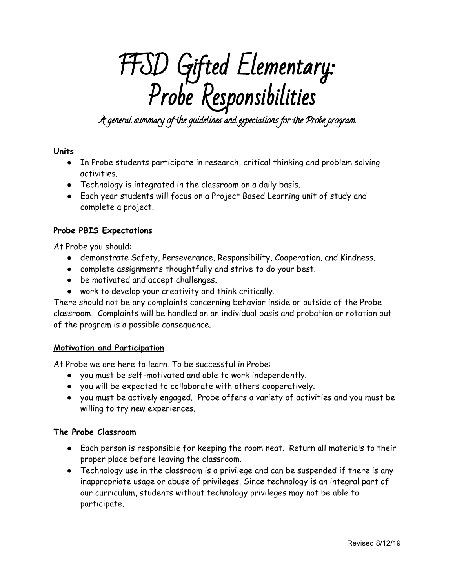# FFSD Gifted Elementary: Probe Responsibilities

A general summary of the guidelines and expectations for the Probe program

## **Units**

- In Probe students participate in research, critical thinking and problem solving activities.
- Technology is integrated in the classroom on a daily basis.
- Each year students will focus on a Project Based Learning unit of study and complete a project.

## **Probe PBIS Expectations**

At Probe you should:

- demonstrate Safety, Perseverance, Responsibility, Cooperation, and Kindness.
- complete assignments thoughtfully and strive to do your best.
- be motivated and accept challenges.
- work to develop your creativity and think critically.

There should not be any complaints concerning behavior inside or outside of the Probe classroom. Complaints will be handled on an individual basis and probation or rotation out of the program is a possible consequence.

## **Motivation and Participation**

At Probe we are here to learn. To be successful in Probe:

- you must be self-motivated and able to work independently.
- you will be expected to collaborate with others cooperatively.
- you must be actively engaged. Probe offers a variety of activities and you must be willing to try new experiences.

## **The Probe Classroom**

- Each person is responsible for keeping the room neat. Return all materials to their proper place before leaving the classroom.
- Technology use in the classroom is a privilege and can be suspended if there is any inappropriate usage or abuse of privileges. Since technology is an integral part of our curriculum, students without technology privileges may not be able to participate.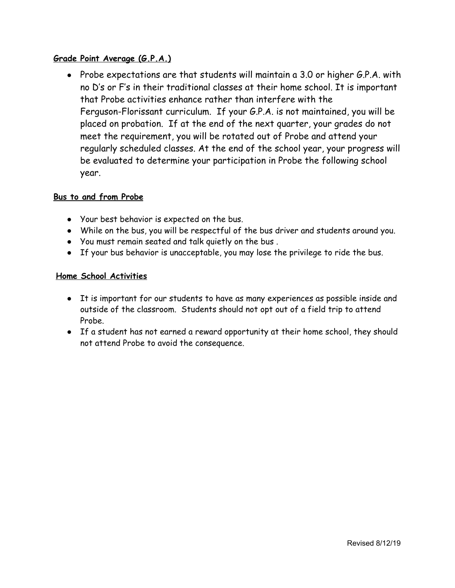## **Grade Point Average (G.P.A.)**

● Probe expectations are that students will maintain a 3.0 or higher G.P.A. with no D's or F's in their traditional classes at their home school. It is important that Probe activities enhance rather than interfere with the Ferguson-Florissant curriculum. If your G.P.A. is not maintained, you will be placed on probation. If at the end of the next quarter, your grades do not meet the requirement, you will be rotated out of Probe and attend your regularly scheduled classes. At the end of the school year, your progress will be evaluated to determine your participation in Probe the following school year.

#### **Bus to and from Probe**

- Your best behavior is expected on the bus.
- While on the bus, you will be respectful of the bus driver and students around you.
- You must remain seated and talk quietly on the bus .
- If your bus behavior is unacceptable, you may lose the privilege to ride the bus.

#### **Home School Activities**

- It is important for our students to have as many experiences as possible inside and outside of the classroom. Students should not opt out of a field trip to attend Probe.
- If a student has not earned a reward opportunity at their home school, they should not attend Probe to avoid the consequence.